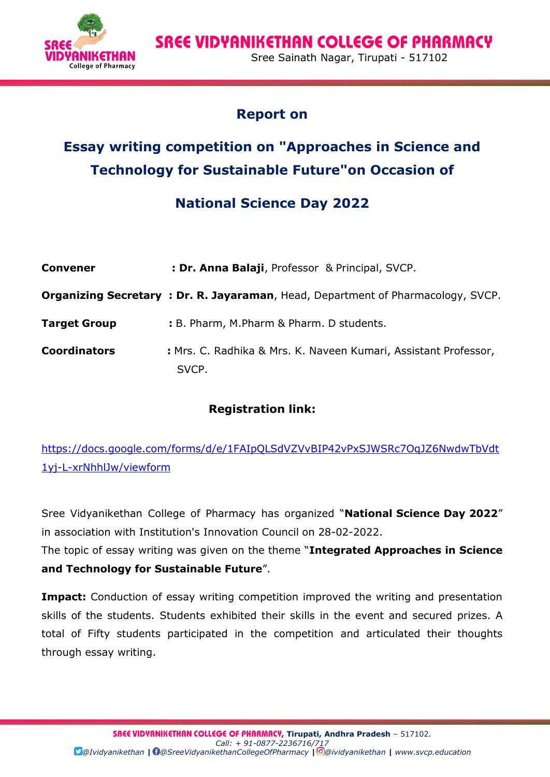**SREE VIDYANIKETHAN COLLEGE OF PHARMACY FRINKETHAN** Sree Sainath Nagar, Tirupati - 517102<br>College of Pharmacy

### **Report on**

# **Essay writing competition on "Approaches in Science and Technology for Sustainable Future"on Occasion of**

## **National Science Day 2022**

| <b>Convener</b>     | : Dr. Anna Balaji, Professor & Principal, SVCP.                                         |  |  |
|---------------------|-----------------------------------------------------------------------------------------|--|--|
|                     | <b>Organizing Secretary: Dr. R. Jayaraman</b> , Head, Department of Pharmacology, SVCP. |  |  |
| <b>Target Group</b> | : B. Pharm, M.Pharm & Pharm. D students.                                                |  |  |
| <b>Coordinators</b> | : Mrs. C. Radhika & Mrs. K. Naveen Kumari, Assistant Professor,<br>SVCP.                |  |  |

#### **Registration link:**

[https://docs.google.com/forms/d/e/1FAIpQLSdVZVvBIP42vPxSJWSRc7OqJZ6NwdwTbVdt](https://docs.google.com/forms/d/e/1FAIpQLSdVZVvBIP42vPxSJWSRc7OqJZ6NwdwTbVdt1yj-L-xrNhhlJw/viewform) [1yj-L-xrNhhlJw/viewform](https://docs.google.com/forms/d/e/1FAIpQLSdVZVvBIP42vPxSJWSRc7OqJZ6NwdwTbVdt1yj-L-xrNhhlJw/viewform)

Sree Vidyanikethan College of Pharmacy has organized "**National Science Day 2022**" in association with Institution's Innovation Council on 28-02-2022.

The topic of essay writing was given on the theme "**Integrated Approaches in Science and Technology for Sustainable Future**".

**Impact:** Conduction of essay writing competition improved the writing and presentation skills of the students. Students exhibited their skills in the event and secured prizes. A total of Fifty students participated in the competition and articulated their thoughts through essay writing.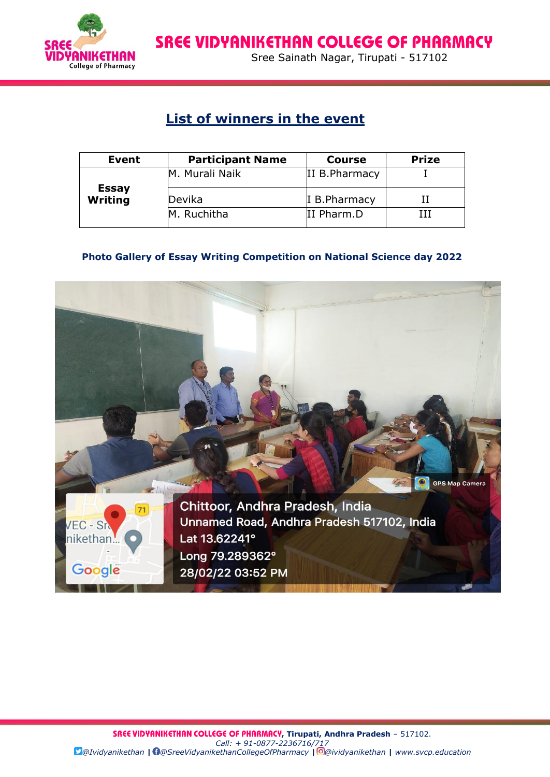

**SREE VIDYANIKETHAN COLLEGE OF PHARMACY FRIMETHAN** Sree Sainath Nagar, Tirupati - 517102

### **List of winners in the event**

| Event                          | <b>Participant Name</b> | <b>Course</b>  | <b>Prize</b> |
|--------------------------------|-------------------------|----------------|--------------|
| <b>Essay</b><br><b>Writing</b> | M. Murali Naik          | II B. Pharmacy |              |
|                                | Devika                  | I B. Pharmacy  |              |
|                                | M. Ruchitha             | II Pharm.D     |              |

#### **Photo Gallery of Essay Writing Competition on National Science day 2022**